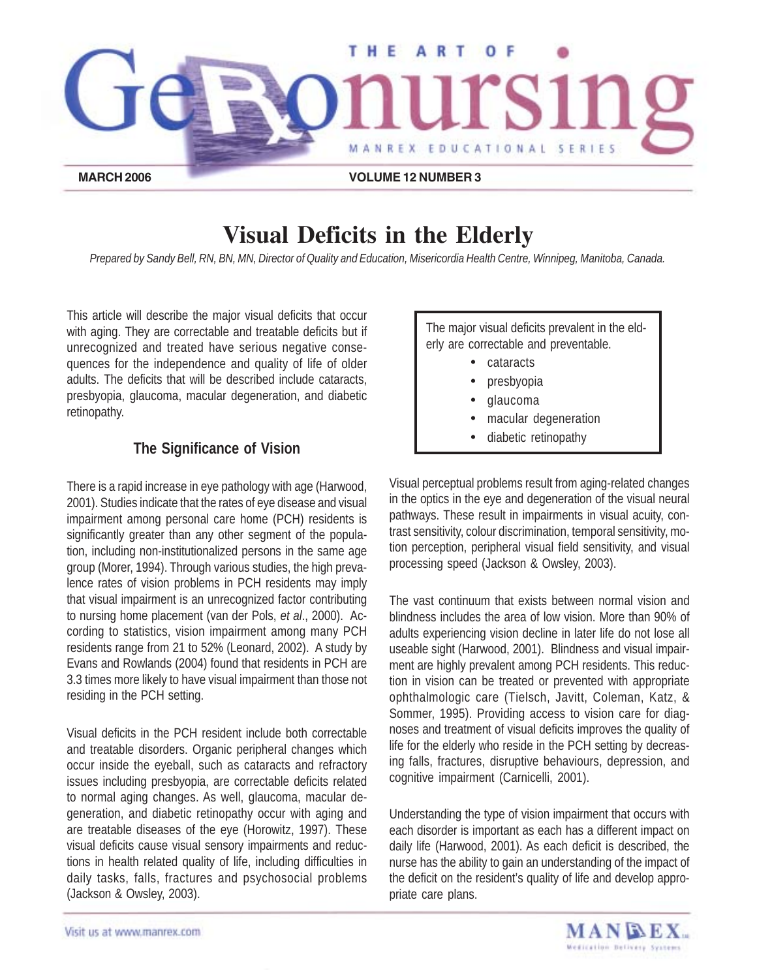

# **Visual Deficits in the Elderly**

*Prepared by Sandy Bell, RN, BN, MN, Director of Quality and Education, Misericordia Health Centre, Winnipeg, Manitoba, Canada.*

This article will describe the major visual deficits that occur with aging. They are correctable and treatable deficits but if unrecognized and treated have serious negative consequences for the independence and quality of life of older adults. The deficits that will be described include cataracts, presbyopia, glaucoma, macular degeneration, and diabetic retinopathy.

# **The Significance of Vision**

There is a rapid increase in eye pathology with age (Harwood, 2001). Studies indicate that the rates of eye disease and visual impairment among personal care home (PCH) residents is significantly greater than any other segment of the population, including non-institutionalized persons in the same age group (Morer, 1994). Through various studies, the high prevalence rates of vision problems in PCH residents may imply that visual impairment is an unrecognized factor contributing to nursing home placement (van der Pols, *et al*., 2000). According to statistics, vision impairment among many PCH residents range from 21 to 52% (Leonard, 2002). A study by Evans and Rowlands (2004) found that residents in PCH are 3.3 times more likely to have visual impairment than those not residing in the PCH setting.

Visual deficits in the PCH resident include both correctable and treatable disorders. Organic peripheral changes which occur inside the eyeball, such as cataracts and refractory issues including presbyopia, are correctable deficits related to normal aging changes. As well, glaucoma, macular degeneration, and diabetic retinopathy occur with aging and are treatable diseases of the eye (Horowitz, 1997). These visual deficits cause visual sensory impairments and reductions in health related quality of life, including difficulties in daily tasks, falls, fractures and psychosocial problems (Jackson & Owsley, 2003).

The major visual deficits prevalent in the elderly are correctable and preventable.

- cataracts
- presbyopia
- glaucoma
- macular degeneration
- diabetic retinopathy

Visual perceptual problems result from aging-related changes in the optics in the eye and degeneration of the visual neural pathways. These result in impairments in visual acuity, contrast sensitivity, colour discrimination, temporal sensitivity, motion perception, peripheral visual field sensitivity, and visual processing speed (Jackson & Owsley, 2003).

The vast continuum that exists between normal vision and blindness includes the area of low vision. More than 90% of adults experiencing vision decline in later life do not lose all useable sight (Harwood, 2001). Blindness and visual impairment are highly prevalent among PCH residents. This reduction in vision can be treated or prevented with appropriate ophthalmologic care (Tielsch, Javitt, Coleman, Katz, & Sommer, 1995). Providing access to vision care for diagnoses and treatment of visual deficits improves the quality of life for the elderly who reside in the PCH setting by decreasing falls, fractures, disruptive behaviours, depression, and cognitive impairment (Carnicelli, 2001).

Understanding the type of vision impairment that occurs with each disorder is important as each has a different impact on daily life (Harwood, 2001). As each deficit is described, the nurse has the ability to gain an understanding of the impact of the deficit on the resident's quality of life and develop appropriate care plans.

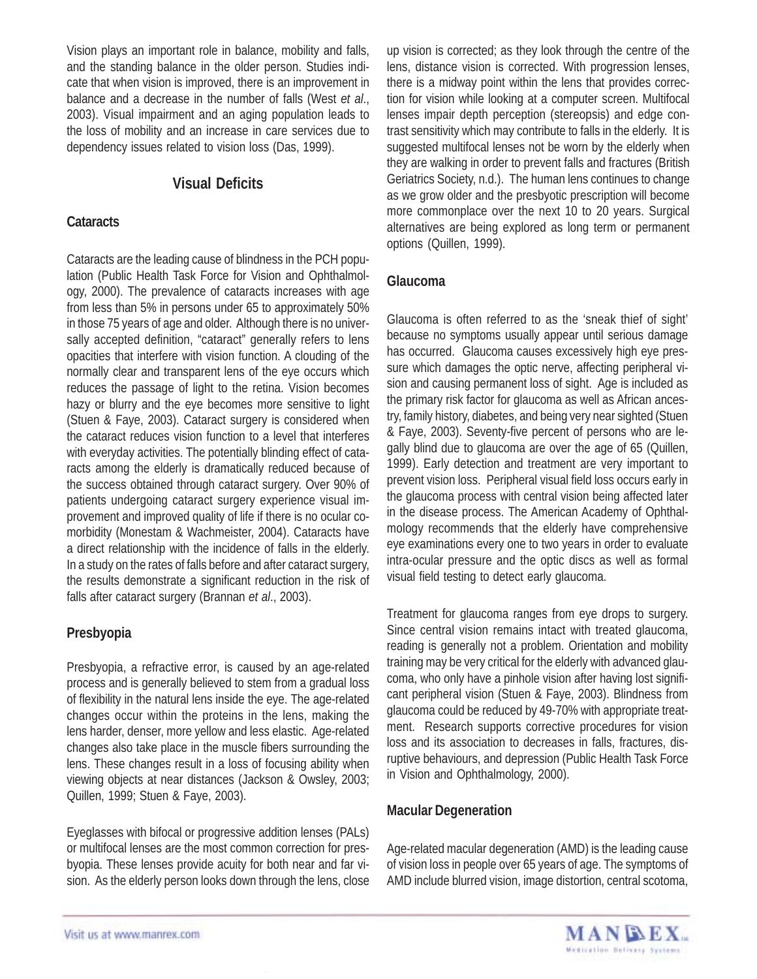Vision plays an important role in balance, mobility and falls, and the standing balance in the older person. Studies indicate that when vision is improved, there is an improvement in balance and a decrease in the number of falls (West *et al*., 2003). Visual impairment and an aging population leads to the loss of mobility and an increase in care services due to dependency issues related to vision loss (Das, 1999).

# **Visual Deficits**

# **Cataracts**

Cataracts are the leading cause of blindness in the PCH population (Public Health Task Force for Vision and Ophthalmology, 2000). The prevalence of cataracts increases with age from less than 5% in persons under 65 to approximately 50% in those 75 years of age and older. Although there is no universally accepted definition, "cataract" generally refers to lens opacities that interfere with vision function. A clouding of the normally clear and transparent lens of the eye occurs which reduces the passage of light to the retina. Vision becomes hazy or blurry and the eye becomes more sensitive to light (Stuen & Faye, 2003). Cataract surgery is considered when the cataract reduces vision function to a level that interferes with everyday activities. The potentially blinding effect of cataracts among the elderly is dramatically reduced because of the success obtained through cataract surgery. Over 90% of patients undergoing cataract surgery experience visual improvement and improved quality of life if there is no ocular comorbidity (Monestam & Wachmeister, 2004). Cataracts have a direct relationship with the incidence of falls in the elderly. In a study on the rates of falls before and after cataract surgery, the results demonstrate a significant reduction in the risk of falls after cataract surgery (Brannan *et al*., 2003).

# **Presbyopia**

Presbyopia, a refractive error, is caused by an age-related process and is generally believed to stem from a gradual loss of flexibility in the natural lens inside the eye. The age-related changes occur within the proteins in the lens, making the lens harder, denser, more yellow and less elastic. Age-related changes also take place in the muscle fibers surrounding the lens. These changes result in a loss of focusing ability when viewing objects at near distances (Jackson & Owsley, 2003; Quillen, 1999; Stuen & Faye, 2003).

Eyeglasses with bifocal or progressive addition lenses (PALs) or multifocal lenses are the most common correction for presbyopia. These lenses provide acuity for both near and far vision. As the elderly person looks down through the lens, close up vision is corrected; as they look through the centre of the lens, distance vision is corrected. With progression lenses, there is a midway point within the lens that provides correction for vision while looking at a computer screen. Multifocal lenses impair depth perception (stereopsis) and edge contrast sensitivity which may contribute to falls in the elderly. It is suggested multifocal lenses not be worn by the elderly when they are walking in order to prevent falls and fractures (British Geriatrics Society, n.d.). The human lens continues to change as we grow older and the presbyotic prescription will become more commonplace over the next 10 to 20 years. Surgical alternatives are being explored as long term or permanent options (Quillen, 1999).

# **Glaucoma**

Glaucoma is often referred to as the 'sneak thief of sight' because no symptoms usually appear until serious damage has occurred. Glaucoma causes excessively high eye pressure which damages the optic nerve, affecting peripheral vision and causing permanent loss of sight. Age is included as the primary risk factor for glaucoma as well as African ancestry, family history, diabetes, and being very near sighted (Stuen & Faye, 2003). Seventy-five percent of persons who are legally blind due to glaucoma are over the age of 65 (Quillen, 1999). Early detection and treatment are very important to prevent vision loss. Peripheral visual field loss occurs early in the glaucoma process with central vision being affected later in the disease process. The American Academy of Ophthalmology recommends that the elderly have comprehensive eye examinations every one to two years in order to evaluate intra-ocular pressure and the optic discs as well as formal visual field testing to detect early glaucoma.

Treatment for glaucoma ranges from eye drops to surgery. Since central vision remains intact with treated glaucoma, reading is generally not a problem. Orientation and mobility training may be very critical for the elderly with advanced glaucoma, who only have a pinhole vision after having lost significant peripheral vision (Stuen & Faye, 2003). Blindness from glaucoma could be reduced by 49-70% with appropriate treatment. Research supports corrective procedures for vision loss and its association to decreases in falls, fractures, disruptive behaviours, and depression (Public Health Task Force in Vision and Ophthalmology, 2000).

# **Macular Degeneration**

Age-related macular degeneration (AMD) is the leading cause of vision loss in people over 65 years of age. The symptoms of AMD include blurred vision, image distortion, central scotoma,

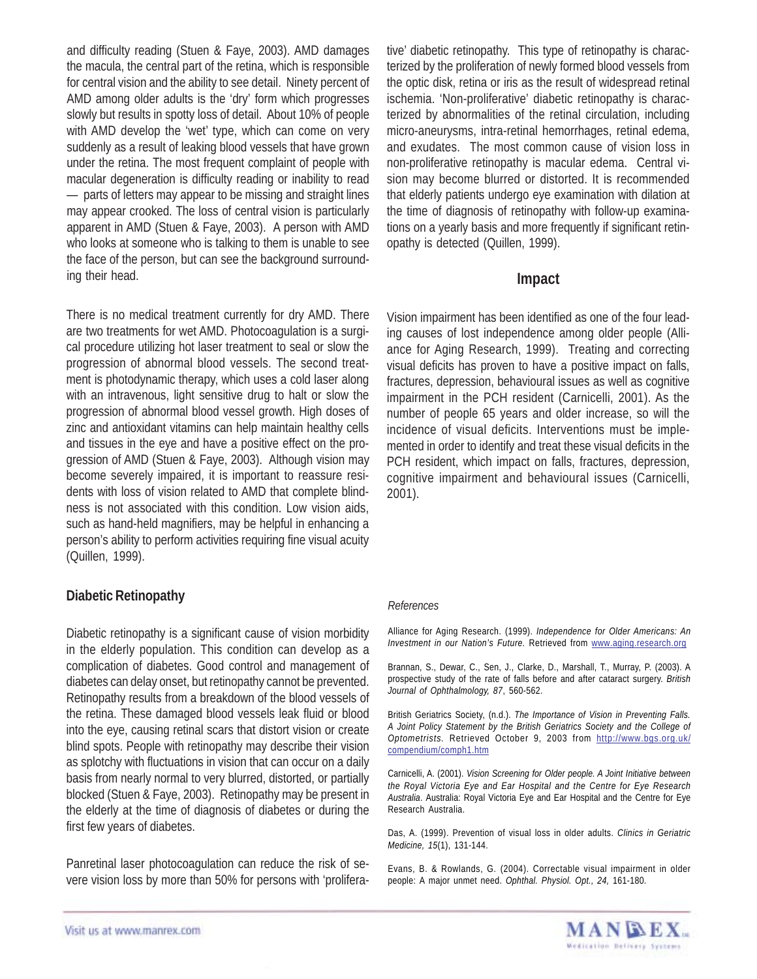and difficulty reading (Stuen & Faye, 2003). AMD damages the macula, the central part of the retina, which is responsible for central vision and the ability to see detail. Ninety percent of AMD among older adults is the 'dry' form which progresses slowly but results in spotty loss of detail. About 10% of people with AMD develop the 'wet' type, which can come on very suddenly as a result of leaking blood vessels that have grown under the retina. The most frequent complaint of people with macular degeneration is difficulty reading or inability to read — parts of letters may appear to be missing and straight lines may appear crooked. The loss of central vision is particularly apparent in AMD (Stuen & Faye, 2003). A person with AMD who looks at someone who is talking to them is unable to see the face of the person, but can see the background surrounding their head.

There is no medical treatment currently for dry AMD. There are two treatments for wet AMD. Photocoagulation is a surgical procedure utilizing hot laser treatment to seal or slow the progression of abnormal blood vessels. The second treatment is photodynamic therapy, which uses a cold laser along with an intravenous, light sensitive drug to halt or slow the progression of abnormal blood vessel growth. High doses of zinc and antioxidant vitamins can help maintain healthy cells and tissues in the eye and have a positive effect on the progression of AMD (Stuen & Faye, 2003). Although vision may become severely impaired, it is important to reassure residents with loss of vision related to AMD that complete blindness is not associated with this condition. Low vision aids, such as hand-held magnifiers, may be helpful in enhancing a person's ability to perform activities requiring fine visual acuity (Quillen, 1999).

# **Diabetic Retinopathy**

Diabetic retinopathy is a significant cause of vision morbidity in the elderly population. This condition can develop as a complication of diabetes. Good control and management of diabetes can delay onset, but retinopathy cannot be prevented. Retinopathy results from a breakdown of the blood vessels of the retina. These damaged blood vessels leak fluid or blood into the eye, causing retinal scars that distort vision or create blind spots. People with retinopathy may describe their vision as splotchy with fluctuations in vision that can occur on a daily basis from nearly normal to very blurred, distorted, or partially blocked (Stuen & Faye, 2003). Retinopathy may be present in the elderly at the time of diagnosis of diabetes or during the first few years of diabetes.

Panretinal laser photocoagulation can reduce the risk of severe vision loss by more than 50% for persons with 'proliferative' diabetic retinopathy. This type of retinopathy is characterized by the proliferation of newly formed blood vessels from the optic disk, retina or iris as the result of widespread retinal ischemia. 'Non-proliferative' diabetic retinopathy is characterized by abnormalities of the retinal circulation, including micro-aneurysms, intra-retinal hemorrhages, retinal edema, and exudates. The most common cause of vision loss in non-proliferative retinopathy is macular edema. Central vision may become blurred or distorted. It is recommended that elderly patients undergo eye examination with dilation at the time of diagnosis of retinopathy with follow-up examinations on a yearly basis and more frequently if significant retinopathy is detected (Quillen, 1999).

#### **Impact**

Vision impairment has been identified as one of the four leading causes of lost independence among older people (Alliance for Aging Research, 1999). Treating and correcting visual deficits has proven to have a positive impact on falls, fractures, depression, behavioural issues as well as cognitive impairment in the PCH resident (Carnicelli, 2001). As the number of people 65 years and older increase, so will the incidence of visual deficits. Interventions must be implemented in order to identify and treat these visual deficits in the PCH resident, which impact on falls, fractures, depression, cognitive impairment and behavioural issues (Carnicelli, 2001).

#### *References*

Alliance for Aging Research. (1999). *Independence for Older Americans: An Investment in our Nation's Future.* Retrieved from www.aging.research.org

Brannan, S., Dewar, C., Sen, J., Clarke, D., Marshall, T., Murray, P. (2003). A prospective study of the rate of falls before and after cataract surgery. *British Journal of Ophthalmology, 87*, 560-562.

British Geriatrics Society, (n.d.). *The Importance of Vision in Preventing Falls. A Joint Policy Statement by the British Geriatrics Society and the College of Optometrists.* Retrieved October 9, 2003 from http://www.bgs.org.uk/ compendium/comph1.htm

Carnicelli, A. (2001). *Vision Screening for Older people. A Joint Initiative between the Royal Victoria Eye and Ear Hospital and the Centre for Eye Research Australia*. Australia: Royal Victoria Eye and Ear Hospital and the Centre for Eye Research Australia.

Das, A. (1999). Prevention of visual loss in older adults. *Clinics in Geriatric Medicine, 15*(1), 131-144.

Evans, B. & Rowlands, G. (2004). Correctable visual impairment in older people: A major unmet need. *Ophthal. Physiol. Opt., 24,* 161-180.